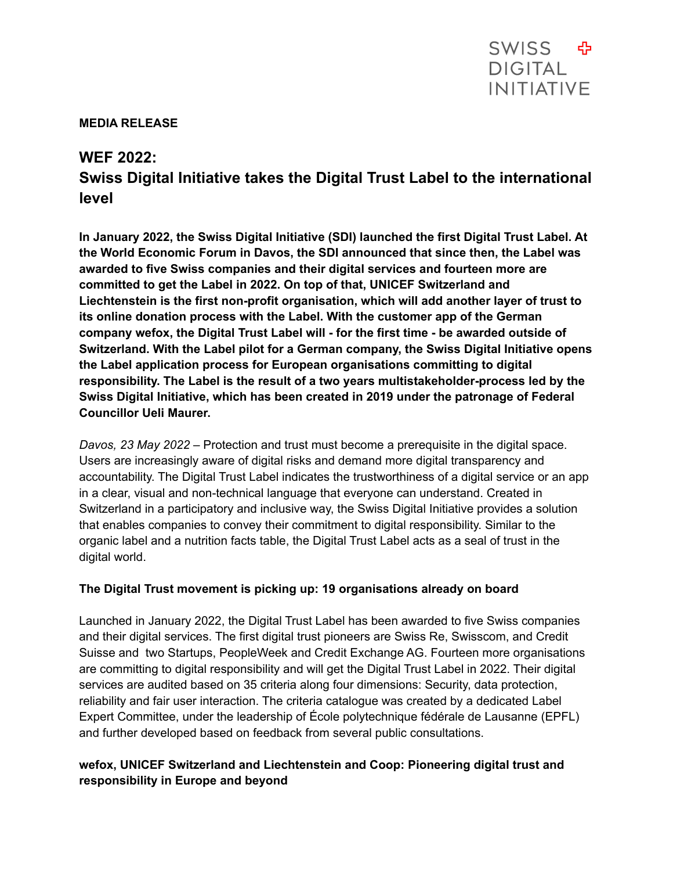#### **MEDIA RELEASE**

## **WEF 2022:**

# **Swiss Digital Initiative takes the Digital Trust Label to the international level**

**In January 2022, the Swiss Digital Initiative (SDI) launched the first Digital Trust Label. At the World Economic Forum in Davos, the SDI announced that since then, the Label was awarded to five Swiss companies and their digital services and fourteen more are committed to get the Label in 2022. On top of that, UNICEF Switzerland and Liechtenstein is the first non-profit organisation, which will add another layer of trust to its online donation process with the Label. With the customer app of the German company wefox, the Digital Trust Label will - for the first time - be awarded outside of Switzerland. With the Label pilot for a German company, the Swiss Digital Initiative opens the Label application process for European organisations committing to digital responsibility. The Label is the result of a two years multistakeholder-process led by the Swiss Digital Initiative, which has been created in 2019 under the patronage of Federal Councillor Ueli Maurer.**

*Davos, 23 May 2022* – Protection and trust must become a prerequisite in the digital space. Users are increasingly aware of digital risks and demand more digital transparency and accountability. The Digital Trust Label indicates the trustworthiness of a digital service or an app in a clear, visual and non-technical language that everyone can understand. Created in Switzerland in a participatory and inclusive way, the Swiss Digital Initiative provides a solution that enables companies to convey their commitment to digital responsibility. Similar to the organic label and a nutrition facts table, the Digital Trust Label acts as a seal of trust in the digital world.

### **The Digital Trust movement is picking up: 19 organisations already on board**

Launched in January 2022, the Digital Trust Label has been awarded to five Swiss companies and their digital services. The first digital trust pioneers are Swiss Re, Swisscom, and Credit Suisse and two Startups, PeopleWeek and Credit Exchange AG. Fourteen more organisations are committing to digital responsibility and will get the Digital Trust Label in 2022. Their digital services are audited based on 35 criteria along four dimensions: Security, data protection, reliability and fair user interaction. The criteria catalogue was created by a dedicated Label Expert Committee, under the leadership of École polytechnique fédérale de Lausanne (EPFL) and further developed based on feedback from several public consultations.

### **wefox, UNICEF Switzerland and Liechtenstein and Coop: Pioneering digital trust and responsibility in Europe and beyond**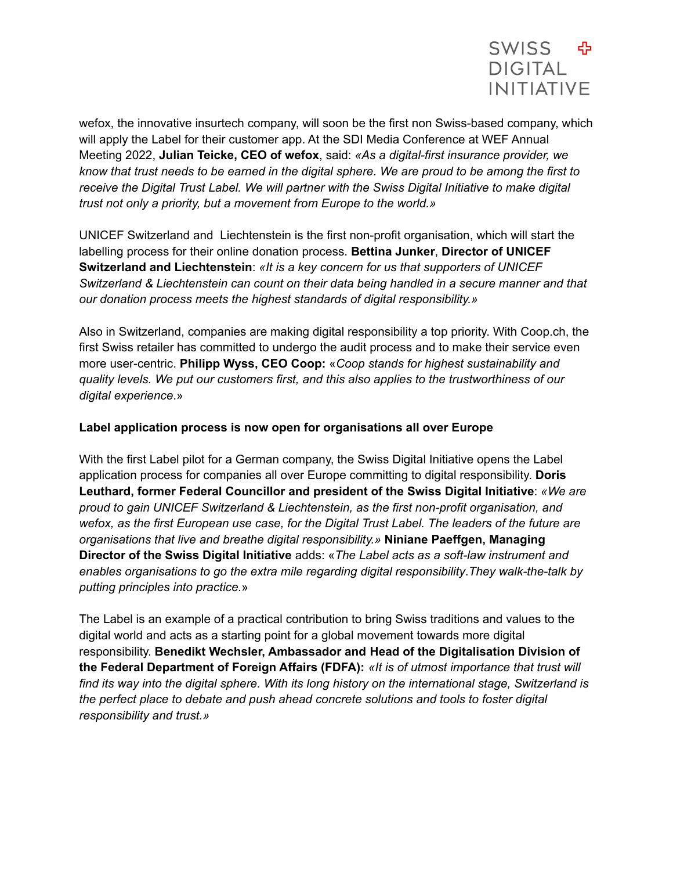

wefox, the innovative insurtech company, will soon be the first non Swiss-based company, which will apply the Label for their customer app. At the SDI Media Conference at WEF Annual Meeting 2022, **Julian Teicke, CEO of wefox**, said: *«As a digital-first insurance provider, we* know that trust needs to be earned in the digital sphere. We are proud to be among the first to *receive the Digital Trust Label. We will partner with the Swiss Digital Initiative to make digital trust not only a priority, but a movement from Europe to the world.»*

UNICEF Switzerland and Liechtenstein is the first non-profit organisation, which will start the labelling process for their online donation process. **Bettina Junker**, **Director of UNICEF Switzerland and Liechtenstein**: *«It is a key concern for us that supporters of UNICEF Switzerland & Liechtenstein can count on their data being handled in a secure manner and that our donation process meets the highest standards of digital responsibility.»*

Also in Switzerland, companies are making digital responsibility a top priority. With Coop.ch, the first Swiss retailer has committed to undergo the audit process and to make their service even more user-centric. **Philipp Wyss, CEO Coop:** «*Coop stands for highest sustainability and quality levels. We put our customers first, and this also applies to the trustworthiness of our digital experience*.»

#### **Label application process is now open for organisations all over Europe**

With the first Label pilot for a German company, the Swiss Digital Initiative opens the Label application process for companies all over Europe committing to digital responsibility. **Doris Leuthard, former Federal Councillor and president of the Swiss Digital Initiative**: *«We are proud to gain UNICEF Switzerland & Liechtenstein, as the first non-profit organisation, and wefox, as the first European use case, for the Digital Trust Label. The leaders of the future are organisations that live and breathe digital responsibility.»* **Niniane Paeffgen, Managing Director of the Swiss Digital Initiative** adds: «*The Label acts as a soft-law instrument and enables organisations to go the extra mile regarding digital responsibility*.*They walk-the-talk by putting principles into practice.*»

The Label is an example of a practical contribution to bring Swiss traditions and values to the digital world and acts as a starting point for a global movement towards more digital responsibility. **Benedikt Wechsler, Ambassador and Head of the Digitalisation Division of the Federal Department of Foreign Affairs (FDFA):** *«It is of utmost importance that trust will find its way into the digital sphere. With its long history on the international stage, Switzerland is the perfect place to debate and push ahead concrete solutions and tools to foster digital responsibility and trust.»*